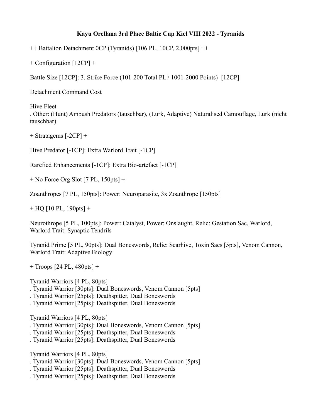## **Kayu Orellana 3rd Place Baltic Cup Kiel VIII 2022 - Tyranids**

++ Battalion Detachment 0CP (Tyranids) [106 PL, 10CP, 2,000pts] ++

+ Configuration [12CP] +

Battle Size [12CP]: 3. Strike Force (101-200 Total PL / 1001-2000 Points) [12CP]

Detachment Command Cost

Hive Fleet . Other: (Hunt) Ambush Predators (tauschbar), (Lurk, Adaptive) Naturalised Camouflage, Lurk (nicht tauschbar)

+ Stratagems [-2CP] +

Hive Predator [-1CP]: Extra Warlord Trait [-1CP]

Rarefied Enhancements [-1CP]: Extra Bio-artefact [-1CP]

+ No Force Org Slot [7 PL, 150pts] +

Zoanthropes [7 PL, 150pts]: Power: Neuroparasite, 3x Zoanthrope [150pts]

 $+$  HQ [10 PL, 190pts]  $+$ 

Neurothrope [5 PL, 100pts]: Power: Catalyst, Power: Onslaught, Relic: Gestation Sac, Warlord, Warlord Trait: Synaptic Tendrils

Tyranid Prime [5 PL, 90pts]: Dual Boneswords, Relic: Searhive, Toxin Sacs [5pts], Venom Cannon, Warlord Trait: Adaptive Biology

+ Troops [24 PL, 480pts] +

Tyranid Warriors [4 PL, 80pts]

- . Tyranid Warrior [30pts]: Dual Boneswords, Venom Cannon [5pts]
- . Tyranid Warrior [25pts]: Deathspitter, Dual Boneswords
- . Tyranid Warrior [25pts]: Deathspitter, Dual Boneswords

Tyranid Warriors [4 PL, 80pts]

- . Tyranid Warrior [30pts]: Dual Boneswords, Venom Cannon [5pts]
- . Tyranid Warrior [25pts]: Deathspitter, Dual Boneswords
- . Tyranid Warrior [25pts]: Deathspitter, Dual Boneswords

Tyranid Warriors [4 PL, 80pts]

- . Tyranid Warrior [30pts]: Dual Boneswords, Venom Cannon [5pts]
- . Tyranid Warrior [25pts]: Deathspitter, Dual Boneswords
- . Tyranid Warrior [25pts]: Deathspitter, Dual Boneswords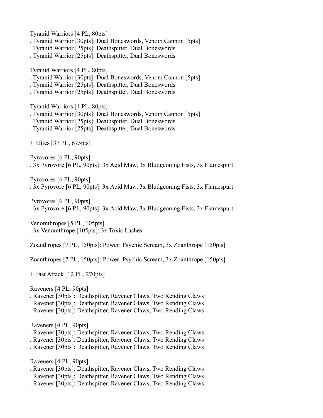Tyranid Warriors [4 PL, 80pts] . Tyranid Warrior [30pts]: Dual Boneswords, Venom Cannon [5pts] . Tyranid Warrior [25pts]: Deathspitter, Dual Boneswords . Tyranid Warrior [25pts]: Deathspitter, Dual Boneswords Tyranid Warriors [4 PL, 80pts] . Tyranid Warrior [30pts]: Dual Boneswords, Venom Cannon [5pts] . Tyranid Warrior [25pts]: Deathspitter, Dual Boneswords . Tyranid Warrior [25pts]: Deathspitter, Dual Boneswords Tyranid Warriors [4 PL, 80pts] . Tyranid Warrior [30pts]: Dual Boneswords, Venom Cannon [5pts] . Tyranid Warrior [25pts]: Deathspitter, Dual Boneswords . Tyranid Warrior [25pts]: Deathspitter, Dual Boneswords + Elites [37 PL, 675pts] + Pyrovores [6 PL, 90pts] . 3x Pyrovore [6 PL, 90pts]: 3x Acid Maw, 3x Bludgeoning Fists, 3x Flamespurt Pyrovores [6 PL, 90pts] . 3x Pyrovore [6 PL, 90pts]: 3x Acid Maw, 3x Bludgeoning Fists, 3x Flamespurt Pyrovores [6 PL, 90pts] . 3x Pyrovore [6 PL, 90pts]: 3x Acid Maw, 3x Bludgeoning Fists, 3x Flamespurt Venomthropes [5 PL, 105pts] . 3x Venomthrope [105pts]: 3x Toxic Lashes Zoanthropes [7 PL, 150pts]: Power: Psychic Scream, 3x Zoanthrope [150pts] Zoanthropes [7 PL, 150pts]: Power: Psychic Scream, 3x Zoanthrope [150pts] + Fast Attack [12 PL, 270pts] + Raveners [4 PL, 90pts] . Ravener [30pts]: Deathspitter, Ravener Claws, Two Rending Claws . Ravener [30pts]: Deathspitter, Ravener Claws, Two Rending Claws . Ravener [30pts]: Deathspitter, Ravener Claws, Two Rending Claws Raveners [4 PL, 90pts] . Ravener [30pts]: Deathspitter, Ravener Claws, Two Rending Claws . Ravener [30pts]: Deathspitter, Ravener Claws, Two Rending Claws . Ravener [30pts]: Deathspitter, Ravener Claws, Two Rending Claws

Raveners [4 PL, 90pts]

- . Ravener [30pts]: Deathspitter, Ravener Claws, Two Rending Claws
- . Ravener [30pts]: Deathspitter, Ravener Claws, Two Rending Claws
- . Ravener [30pts]: Deathspitter, Ravener Claws, Two Rending Claws